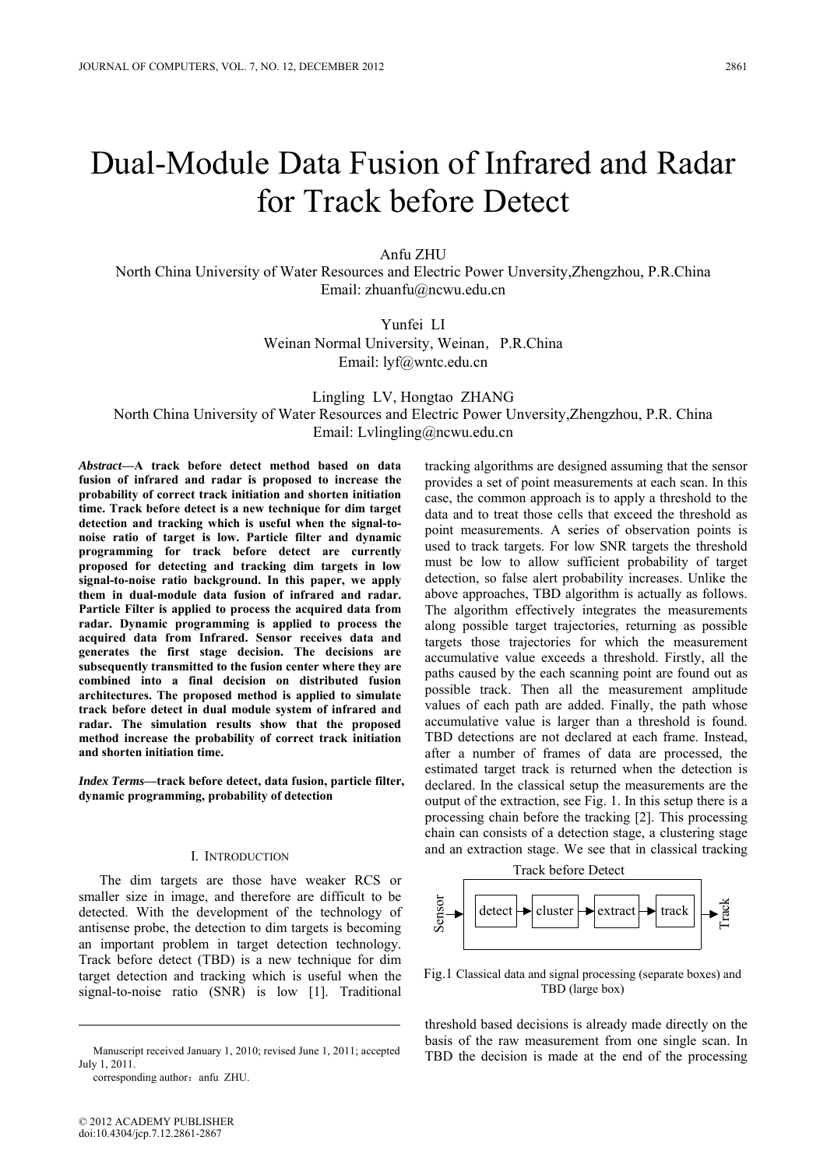# Dual-Module Data Fusion of Infrared and Radar for Track before Detect

Anfu ZHU

North China University of Water Resources and Electric Power Unversity,Zhengzhou, P.R.China Email: zhuanfu@ncwu.edu.cn

> Yunfei LI Weinan Normal University, Weinan, P.R.China Email: lyf@wntc.edu.cn

Lingling LV, Hongtao ZHANG North China University of Water Resources and Electric Power Unversity,Zhengzhou, P.R. China Email: Lvlingling@ncwu.edu.cn

*Abstract***—A track before detect method based on data fusion of infrared and radar is proposed to increase the probability of correct track initiation and shorten initiation time. Track before detect is a new technique for dim target detection and tracking which is useful when the signal-tonoise ratio of target is low. Particle filter and dynamic programming for track before detect are currently proposed for detecting and tracking dim targets in low signal-to-noise ratio background. In this paper, we apply them in dual-module data fusion of infrared and radar. Particle Filter is applied to process the acquired data from radar. Dynamic programming is applied to process the acquired data from Infrared. Sensor receives data and generates the first stage decision. The decisions are subsequently transmitted to the fusion center where they are combined into a final decision on distributed fusion architectures. The proposed method is applied to simulate track before detect in dual module system of infrared and radar. The simulation results show that the proposed method increase the probability of correct track initiation and shorten initiation time.** 

*Index Terms***—track before detect, data fusion, particle filter, dynamic programming, probability of detection** 

# I. INTRODUCTION

The dim targets are those have weaker RCS or smaller size in image, and therefore are difficult to be detected. With the development of the technology of antisense probe, the detection to dim targets is becoming an important problem in target detection technology. Track before detect (TBD) is a new technique for dim target detection and tracking which is useful when the signal-to-noise ratio (SNR) is low [1]. Traditional

July 1, 2011.

corresponding author: anfu ZHU.

tracking algorithms are designed assuming that the sensor provides a set of point measurements at each scan. In this case, the common approach is to apply a threshold to the data and to treat those cells that exceed the threshold as point measurements. A series of observation points is used to track targets. For low SNR targets the threshold must be low to allow sufficient probability of target detection, so false alert probability increases. Unlike the above approaches, TBD algorithm is actually as follows. The algorithm effectively integrates the measurements along possible target trajectories, returning as possible targets those trajectories for which the measurement accumulative value exceeds a threshold. Firstly, all the paths caused by the each scanning point are found out as possible track. Then all the measurement amplitude values of each path are added. Finally, the path whose accumulative value is larger than a threshold is found. TBD detections are not declared at each frame. Instead, after a number of frames of data are processed, the estimated target track is returned when the detection is declared. In the classical setup the measurements are the output of the extraction, see Fig. 1. In this setup there is a processing chain before the tracking [2]. This processing chain can consists of a detection stage, a clustering stage and an extraction stage. We see that in classical tracking



Fig.1 Classical data and signal processing (separate boxes) and TBD (large box)

threshold based decisions is already made directly on the basis of the raw measurement from one single scan. In Manuscript received January 1, 2010; revised June 1, 2011; accepted<br>
TBD the decision is made at the end of the processing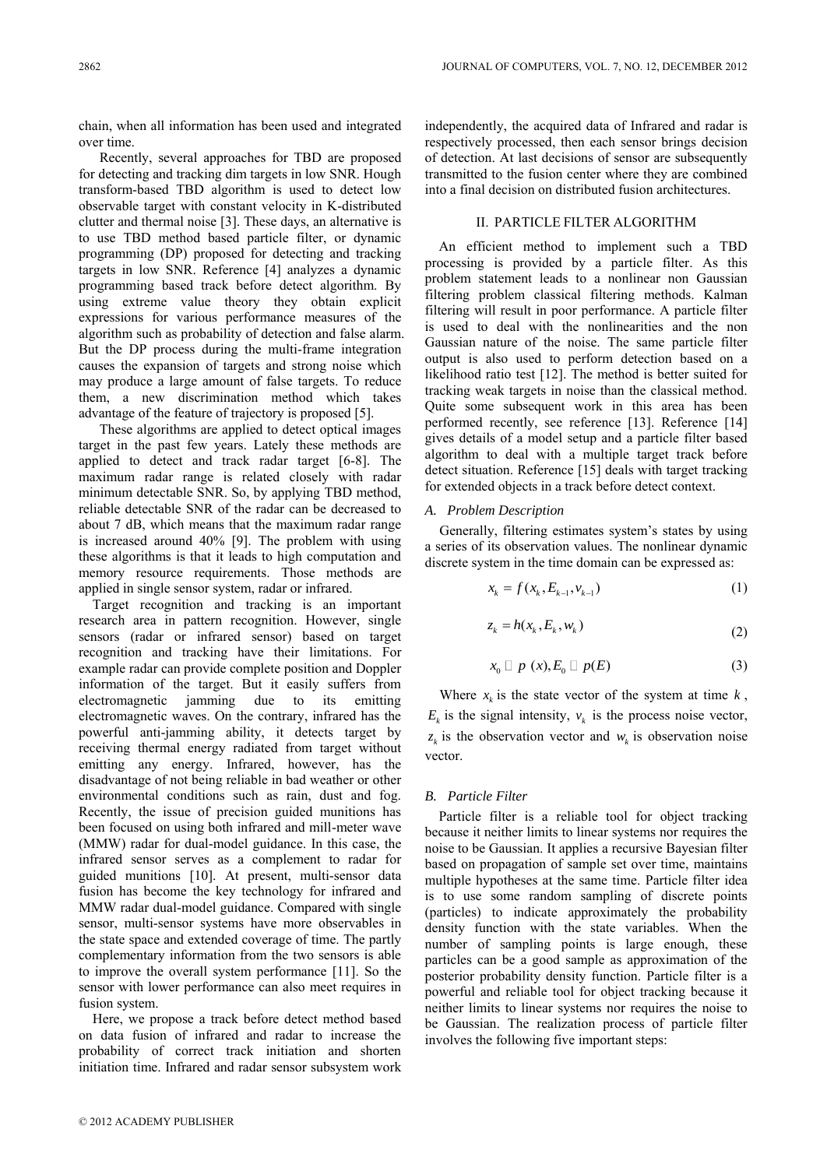chain, when all information has been used and integrated over time.

Recently, several approaches for TBD are proposed for detecting and tracking dim targets in low SNR. Hough transform-based TBD algorithm is used to detect low observable target with constant velocity in K-distributed clutter and thermal noise [3]. These days, an alternative is to use TBD method based particle filter, or dynamic programming (DP) proposed for detecting and tracking targets in low SNR. Reference [4] analyzes a dynamic programming based track before detect algorithm. By using extreme value theory they obtain explicit expressions for various performance measures of the algorithm such as probability of detection and false alarm. But the DP process during the multi-frame integration causes the expansion of targets and strong noise which may produce a large amount of false targets. To reduce them, a new discrimination method which takes advantage of the feature of trajectory is proposed [5].

These algorithms are applied to detect optical images target in the past few years. Lately these methods are applied to detect and track radar target [6-8]. The maximum radar range is related closely with radar minimum detectable SNR. So, by applying TBD method, reliable detectable SNR of the radar can be decreased to about 7 dB, which means that the maximum radar range is increased around 40% [9]. The problem with using these algorithms is that it leads to high computation and memory resource requirements. Those methods are applied in single sensor system, radar or infrared.

Target recognition and tracking is an important research area in pattern recognition. However, single sensors (radar or infrared sensor) based on target recognition and tracking have their limitations. For example radar can provide complete position and Doppler information of the target. But it easily suffers from electromagnetic jamming due to its emitting electromagnetic waves. On the contrary, infrared has the powerful anti-jamming ability, it detects target by receiving thermal energy radiated from target without emitting any energy. Infrared, however, has the disadvantage of not being reliable in bad weather or other environmental conditions such as rain, dust and fog. Recently, the issue of precision guided munitions has been focused on using both infrared and mill-meter wave (MMW) radar for dual-model guidance. In this case, the infrared sensor serves as a complement to radar for guided munitions [10]. At present, multi-sensor data fusion has become the key technology for infrared and MMW radar dual-model guidance. Compared with single sensor, multi-sensor systems have more observables in the state space and extended coverage of time. The partly complementary information from the two sensors is able to improve the overall system performance [11]. So the sensor with lower performance can also meet requires in fusion system.

Here, we propose a track before detect method based on data fusion of infrared and radar to increase the probability of correct track initiation and shorten initiation time. Infrared and radar sensor subsystem work

# II. PARTICLE FILTER ALGORITHM

An efficient method to implement such a TBD processing is provided by a particle filter. As this problem statement leads to a nonlinear non Gaussian filtering problem classical filtering methods. Kalman filtering will result in poor performance. A particle filter is used to deal with the nonlinearities and the non Gaussian nature of the noise. The same particle filter output is also used to perform detection based on a likelihood ratio test [12]. The method is better suited for tracking weak targets in noise than the classical method. Quite some subsequent work in this area has been performed recently, see reference [13]. Reference [14] gives details of a model setup and a particle filter based algorithm to deal with a multiple target track before detect situation. Reference [15] deals with target tracking for extended objects in a track before detect context.

## *A. Problem Description*

Generally, filtering estimates system's states by using a series of its observation values. The nonlinear dynamic discrete system in the time domain can be expressed as:

$$
x_k = f(x_k, E_{k-1}, v_{k-1})
$$
\n(1)

$$
z_k = h(x_k, E_k, w_k)
$$
\n<sup>(2)</sup>

$$
x_0 \sqcup p(x), E_0 \sqcup p(E) \tag{3}
$$

Where  $x_k$  is the state vector of the system at time  $k$ ,  $E_k$  is the signal intensity,  $v_k$  is the process noise vector,  $z_k$  is the observation vector and  $w_k$  is observation noise vector.

## *B. Particle Filter*

Particle filter is a reliable tool for object tracking because it neither limits to linear systems nor requires the noise to be Gaussian. It applies a recursive Bayesian filter based on propagation of sample set over time, maintains multiple hypotheses at the same time. Particle filter idea is to use some random sampling of discrete points (particles) to indicate approximately the probability density function with the state variables. When the number of sampling points is large enough, these particles can be a good sample as approximation of the posterior probability density function. Particle filter is a powerful and reliable tool for object tracking because it neither limits to linear systems nor requires the noise to be Gaussian. The realization process of particle filter involves the following five important steps: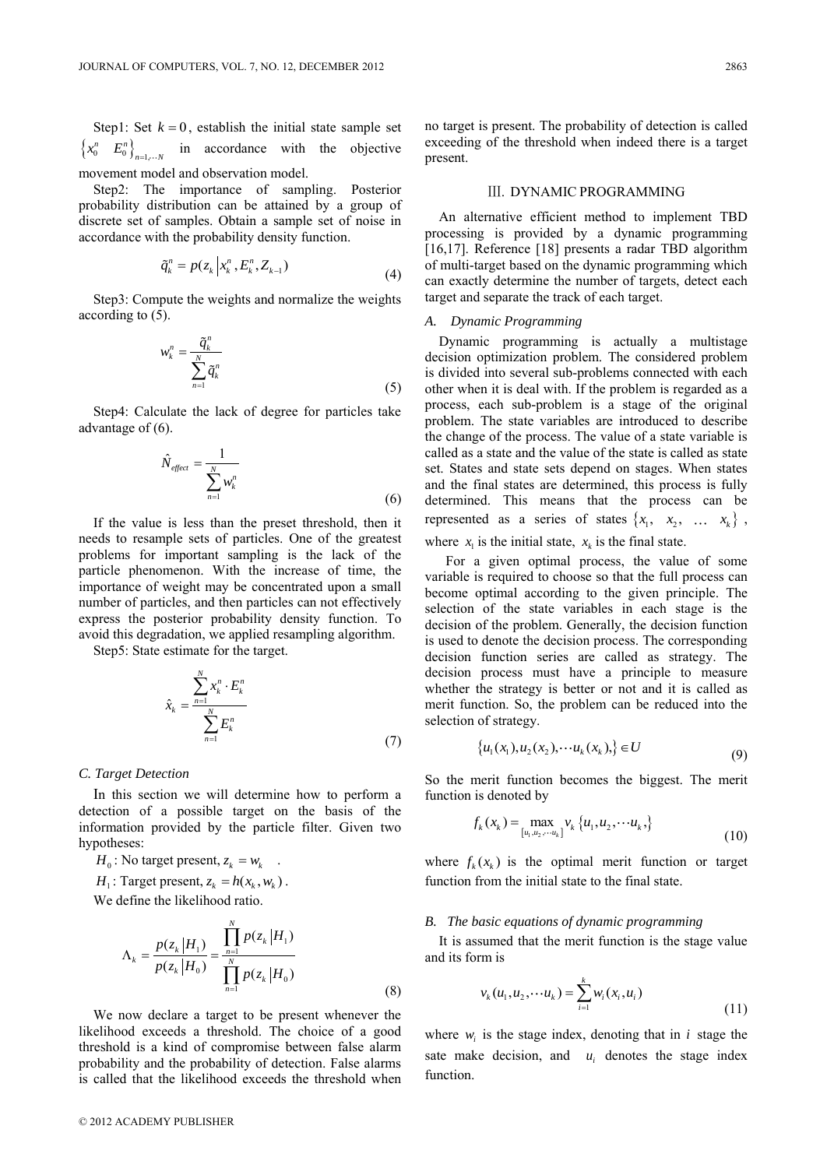Step1: Set  $k = 0$ , establish the initial state sample set  $\left\{x_0^n \quad E_0^n\right\}_{n=1}$  $x_0^n$   $E_0^n$ ,  $E_{n=1,...N}$  in accordance with the objective movement model and observation model.

Step2: The importance of sampling. Posterior probability distribution can be attained by a group of discrete set of samples. Obtain a sample set of noise in accordance with the probability density function.

$$
\tilde{q}_k^n = p(z_k \left| x_k^n, E_k^n, Z_{k-1}) \right) \tag{4}
$$

Step3: Compute the weights and normalize the weights according to (5).

$$
w_k^n = \frac{\tilde{q}_k^n}{\sum_{n=1}^N \tilde{q}_k^n}
$$
\n(5)

Step4: Calculate the lack of degree for particles take advantage of (6).

$$
\hat{N}_{effect} = \frac{1}{\sum_{n=1}^{N} w_k^n}
$$
\n(6)

If the value is less than the preset threshold, then it needs to resample sets of particles. One of the greatest problems for important sampling is the lack of the particle phenomenon. With the increase of time, the importance of weight may be concentrated upon a small number of particles, and then particles can not effectively express the posterior probability density function. To avoid this degradation, we applied resampling algorithm.

Step5: State estimate for the target.

*N*

$$
\hat{x}_k = \frac{\sum_{n=1}^N x_k^n \cdot E_k^n}{\sum_{n=1}^N E_k^n}
$$
\n(7)

#### *C. Target Detection*

In this section we will determine how to perform a detection of a possible target on the basis of the information provided by the particle filter. Given two hypotheses:

 $H_0$ : No target present,  $z_k = w_k$ .  $H_1$ : Target present,  $z_k = h(x_k, w_k)$ . We define the likelihood ratio.

$$
\Lambda_{k} = \frac{p(z_{k}|H_{1})}{p(z_{k}|H_{0})} = \frac{\prod_{n=1}^{N} p(z_{k}|H_{1})}{\prod_{n=1}^{N} p(z_{k}|H_{0})}
$$
\n(8)

We now declare a target to be present whenever the likelihood exceeds a threshold. The choice of a good threshold is a kind of compromise between false alarm probability and the probability of detection. False alarms is called that the likelihood exceeds the threshold when no target is present. The probability of detection is called exceeding of the threshold when indeed there is a target present.

## Ⅲ. DYNAMIC PROGRAMMING

An alternative efficient method to implement TBD processing is provided by a dynamic programming [16,17]. Reference [18] presents a radar TBD algorithm of multi-target based on the dynamic programming which can exactly determine the number of targets, detect each target and separate the track of each target.

#### *A. Dynamic Programming*

Dynamic programming is actually a multistage decision optimization problem. The considered problem is divided into several sub-problems connected with each other when it is deal with. If the problem is regarded as a process, each sub-problem is a stage of the original problem. The state variables are introduced to describe the change of the process. The value of a state variable is called as a state and the value of the state is called as state set. States and state sets depend on stages. When states and the final states are determined, this process is fully determined. This means that the process can be represented as a series of states  $\{x_1, x_2, \ldots x_k\}$ ,

where  $x_1$  is the initial state,  $x_k$  is the final state.

For a given optimal process, the value of some variable is required to choose so that the full process can become optimal according to the given principle. The selection of the state variables in each stage is the decision of the problem. Generally, the decision function is used to denote the decision process. The corresponding decision function series are called as strategy. The decision process must have a principle to measure whether the strategy is better or not and it is called as merit function. So, the problem can be reduced into the selection of strategy.

$$
\{u_1(x_1), u_2(x_2), \cdots u_k(x_k)\} \in U
$$
\n(9)

So the merit function becomes the biggest. The merit function is denoted by

$$
f_k(x_k) = \max_{[u_1, u_2, \cdots u_k]} v_k \{u_1, u_2, \cdots u_k, \}
$$
\n(10)

where  $f_k(x_k)$  is the optimal merit function or target function from the initial state to the final state.

#### *B. The basic equations of dynamic programming*

It is assumed that the merit function is the stage value and its form is

$$
v_k(u_1, u_2, \cdots u_k) = \sum_{i=1}^k w_i(x_i, u_i)
$$
\n(11)

where  $w_i$  is the stage index, denoting that in  $i$  stage the sate make decision, and  $u_i$  denotes the stage index function.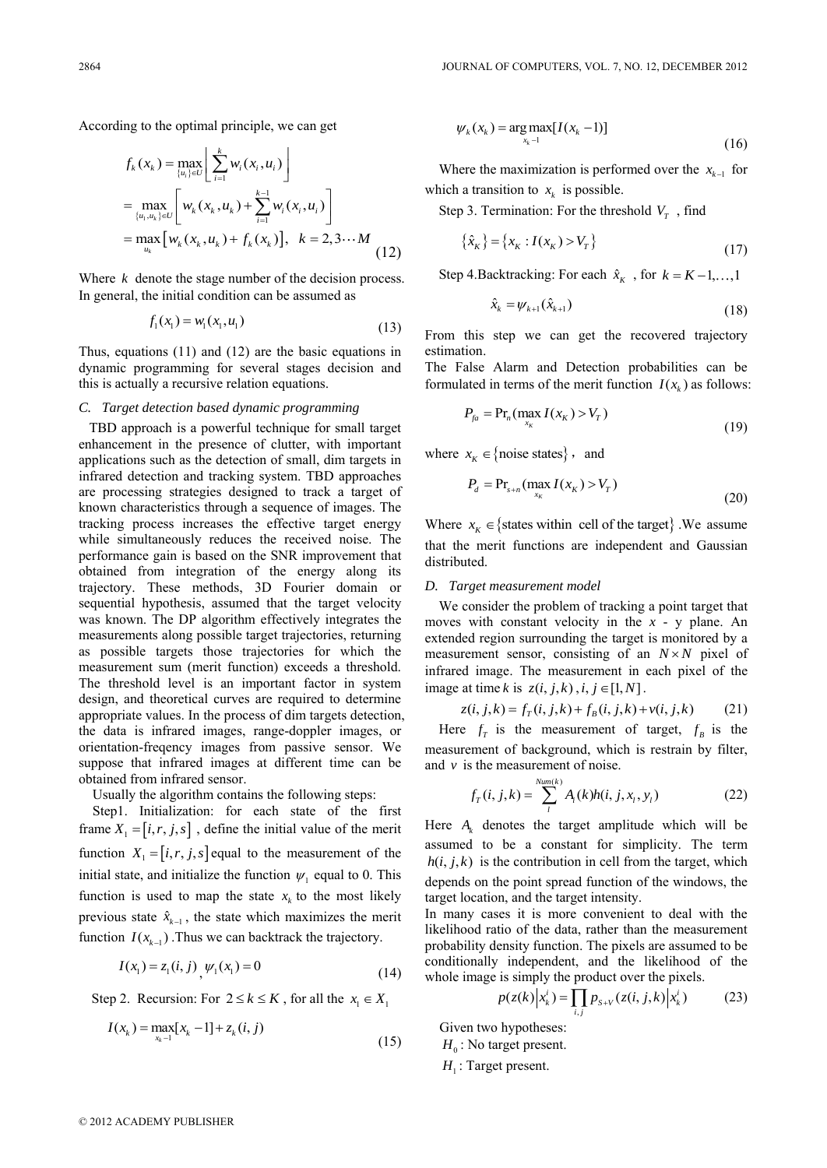According to the optimal principle, we can get

$$
f_k(x_k) = \max_{\{u_i\} \in U} \left[ \sum_{i=1}^k w_i(x_i, u_i) \right]
$$
  
= 
$$
\max_{\{u_i, u_k\} \in U} \left[ w_k(x_k, u_k) + \sum_{i=1}^{k-1} w_i(x_i, u_i) \right]
$$
  
= 
$$
\max_{u_k} \left[ w_k(x_k, u_k) + f_k(x_k) \right], \quad k = 2, 3 \cdots M
$$
 (12)

Where  $k$  denote the stage number of the decision process. In general, the initial condition can be assumed as

$$
f_1(x_1) = w_1(x_1, u_1) \tag{13}
$$

Thus, equations (11) and (12) are the basic equations in dynamic programming for several stages decision and this is actually a recursive relation equations.

## *C. Target detection based dynamic programming*

 TBD approach is a powerful technique for small target enhancement in the presence of clutter, with important applications such as the detection of small, dim targets in infrared detection and tracking system. TBD approaches are processing strategies designed to track a target of known characteristics through a sequence of images. The tracking process increases the effective target energy while simultaneously reduces the received noise. The performance gain is based on the SNR improvement that obtained from integration of the energy along its trajectory. These methods, 3D Fourier domain or sequential hypothesis, assumed that the target velocity was known. The DP algorithm effectively integrates the measurements along possible target trajectories, returning as possible targets those trajectories for which the measurement sum (merit function) exceeds a threshold. The threshold level is an important factor in system design, and theoretical curves are required to determine appropriate values. In the process of dim targets detection, the data is infrared images, range-doppler images, or orientation-freqency images from passive sensor. We suppose that infrared images at different time can be obtained from infrared sensor.

Usually the algorithm contains the following steps:

Step1. Initialization: for each state of the first frame  $X_1 = [i, r, j, s]$ , define the initial value of the merit function  $X_1 = [i, r, j, s]$  equal to the measurement of the initial state, and initialize the function  $\psi_1$  equal to 0. This function is used to map the state  $x_k$  to the most likely previous state  $\hat{x}_{k-1}$ , the state which maximizes the merit function  $I(x_{k-1})$ . Thus we can backtrack the trajectory.

$$
I(x_1) = z_1(i, j), \psi_1(x_1) = 0 \tag{14}
$$

Step 2. Recursion: For  $2 \le k \le K$ , for all the  $x_1 \in X_1$ 

$$
I(x_k) = \max_{x_k - 1} [x_k - 1] + z_k(i, j)
$$
\n(15)

$$
\psi_k(x_k) = \underset{x_k-1}{\arg \max} [I(x_k-1)] \tag{16}
$$

Where the maximization is performed over the  $x_{k-1}$  for which a transition to  $x_k$  is possible.

Step 3. Termination: For the threshold  $V_T$ , find

$$
\{\hat{x}_K\} = \{x_K : I(x_K) > V_T\}
$$
\n(17)

Step 4.Backtracking: For each  $\hat{x}_k$ , for  $k = K - 1, \dots, 1$ 

$$
\hat{x}_{k} = \psi_{k+1}(\hat{x}_{k+1})
$$
\n(18)

From this step we can get the recovered trajectory estimation.

The False Alarm and Detection probabilities can be formulated in terms of the merit function  $I(x_k)$  as follows:

$$
P_{\scriptscriptstyle{fa}} = \Pr_n(\max_{\scriptscriptstyle{X_K}} I(x_K) > V_T) \tag{19}
$$

where  $x_K \in \{\text{noise states}\}\,$ , and

$$
P_d = \Pr_{s+n}(\max_{x_K} I(x_K) > V_T)
$$
\n(20)

Where  $x_k \in \{$  states within cell of the target $\}$ . We assume that the merit functions are independent and Gaussian distributed.

#### *D. Target measurement model*

We consider the problem of tracking a point target that moves with constant velocity in the *x* - y plane. An extended region surrounding the target is monitored by a measurement sensor, consisting of an  $N \times N$  pixel of infrared image. The measurement in each pixel of the image at time *k* is  $z(i, j, k)$ ,  $i, j \in [1, N]$ .<br>  $z(i, j, k) = f_T(i, j, k) + f_B(i, j, k) + v(i, j, k)$  (21)

$$
z(i, j, k) = f_T(i, j, k) + f_B(i, j, k) + v(i, j, k)
$$
 (21)

Here  $f_T$  is the measurement of target,  $f_B$  is the measurement of background, which is restrain by filter, and  $\nu$  is the measurement of noise.

$$
f_T(i, j, k) = \sum_{l}^{Num(k)} A_i(k)h(i, j, x_l, y_l)
$$
 (22)

Here  $A_k$  denotes the target amplitude which will be assumed to be a constant for simplicity. The term  $h(i, j, k)$  is the contribution in cell from the target, which depends on the point spread function of the windows, the target location, and the target intensity.

In many cases it is more convenient to deal with the likelihood ratio of the data, rather than the measurement probability density function. The pixels are assumed to be conditionally independent, and the likelihood of the whole image is simply the product over the pixels.<br>  $p(z(k)|x_k^i) = \prod p_{S+V}(z(i, j, k)|x_k^i)$ 

$$
p(z(k)|x_k^i) = \prod_{i,j} p_{s+v}(z(i,j,k)|x_k^i)
$$
 (23)

Given two hypotheses:  $H_0$ : No target present. *H*<sub>1</sub>: Target present.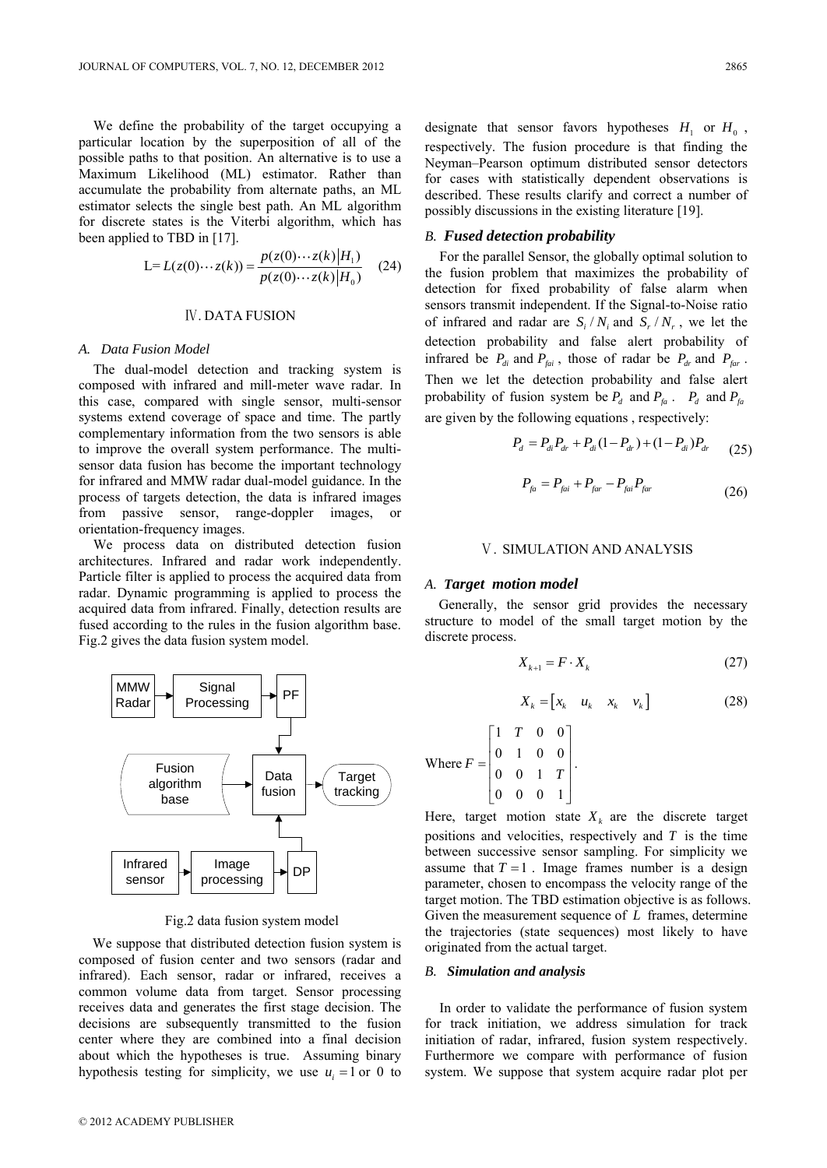We define the probability of the target occupying a particular location by the superposition of all of the possible paths to that position. An alternative is to use a Maximum Likelihood (ML) estimator. Rather than

accumulate the probability from alternate paths, an ML estimator selects the single best path. An ML algorithm for discrete states is the Viterbi algorithm, which has been applied to TBD in [17].

$$
\text{L} = L(z(0) \cdots z(k)) = \frac{p(z(0) \cdots z(k)|H_1)}{p(z(0) \cdots z(k)|H_0)} \quad (24)
$$

# Ⅳ. DATA FUSION

#### *A. Data Fusion Model*

The dual-model detection and tracking system is composed with infrared and mill-meter wave radar. In this case, compared with single sensor, multi-sensor systems extend coverage of space and time. The partly complementary information from the two sensors is able to improve the overall system performance. The multisensor data fusion has become the important technology for infrared and MMW radar dual-model guidance. In the process of targets detection, the data is infrared images from passive sensor, range-doppler images, orientation-frequency images.

We process data on distributed detection fusion architectures. Infrared and radar work independently. Particle filter is applied to process the acquired data from radar. Dynamic programming is applied to process the acquired data from infrared. Finally, detection results are fused according to the rules in the fusion algorithm base. Fig.2 gives the data fusion system model.



## Fig.2 data fusion system model

We suppose that distributed detection fusion system is composed of fusion center and two sensors (radar and infrared). Each sensor, radar or infrared, receives a common volume data from target. Sensor processing receives data and generates the first stage decision. The decisions are subsequently transmitted to the fusion center where they are combined into a final decision about which the hypotheses is true. Assuming binary hypothesis testing for simplicity, we use  $u_i = 1$  or 0 to

designate that sensor favors hypotheses  $H_1$  or  $H_0$ , respectively. The fusion procedure is that finding the Neyman–Pearson optimum distributed sensor detectors for cases with statistically dependent observations is described. These results clarify and correct a number of possibly discussions in the existing literature [19].

## *B. Fused detection probability*

For the parallel Sensor, the globally optimal solution to the fusion problem that maximizes the probability of detection for fixed probability of false alarm when sensors transmit independent. If the Signal-to-Noise ratio of infrared and radar are  $S_i/N_i$  and  $S_r/N_r$ , we let the detection probability and false alert probability of infrared be  $P_{di}$  and  $P_{fai}$ , those of radar be  $P_{dr}$  and  $P_{far}$ . Then we let the detection probability and false alert probability of fusion system be  $P_d$  and  $P_{fa}$ .  $P_d$  and  $P_{fa}$ are given by the following equations , respectively:

$$
P_d = P_{di} P_{dr} + P_{di} (1 - P_{dr}) + (1 - P_{di}) P_{dr}
$$
 (25)

$$
P_{ja} = P_{fai} + P_{far} - P_{fai} P_{far}
$$
 (26)

#### Ⅴ. SIMULATION AND ANALYSIS

#### *A. Target motion model*

Generally, the sensor grid provides the necessary structure to model of the small target motion by the discrete process.

$$
X_{k+1} = F \cdot X_k \tag{27}
$$

$$
X_k = \begin{bmatrix} x_k & u_k & x_k & v_k \end{bmatrix}
$$
 (28)

Where  $1$  T 0 0  $0 \t1 \t0 \t0$ 0 0 1  $0 \quad 0 \quad 0 \quad 1$ *T*  $F = \begin{bmatrix} 0 & 1 & 0 \\ 0 & 0 & 1 \end{bmatrix}$  $\begin{bmatrix} 1 & T & 0 & 0 \end{bmatrix}$  $\begin{bmatrix} 0 & 1 & 0 & 0 \end{bmatrix}$  $=\begin{vmatrix} 0 & 1 & 0 & 0 \\ 0 & 0 & 1 & T \end{vmatrix}.$  $\begin{bmatrix} 0 & 0 & 0 & 1 \end{bmatrix}$ .

Here, target motion state  $X_k$  are the discrete target positions and velocities, respectively and  $T$  is the time between successive sensor sampling. For simplicity we assume that  $T = 1$ . Image frames number is a design parameter, chosen to encompass the velocity range of the target motion. The TBD estimation objective is as follows. Given the measurement sequence of *L* frames, determine the trajectories (state sequences) most likely to have originated from the actual target.

#### *B. Simulation and analysis*

In order to validate the performance of fusion system for track initiation, we address simulation for track initiation of radar, infrared, fusion system respectively. Furthermore we compare with performance of fusion system. We suppose that system acquire radar plot per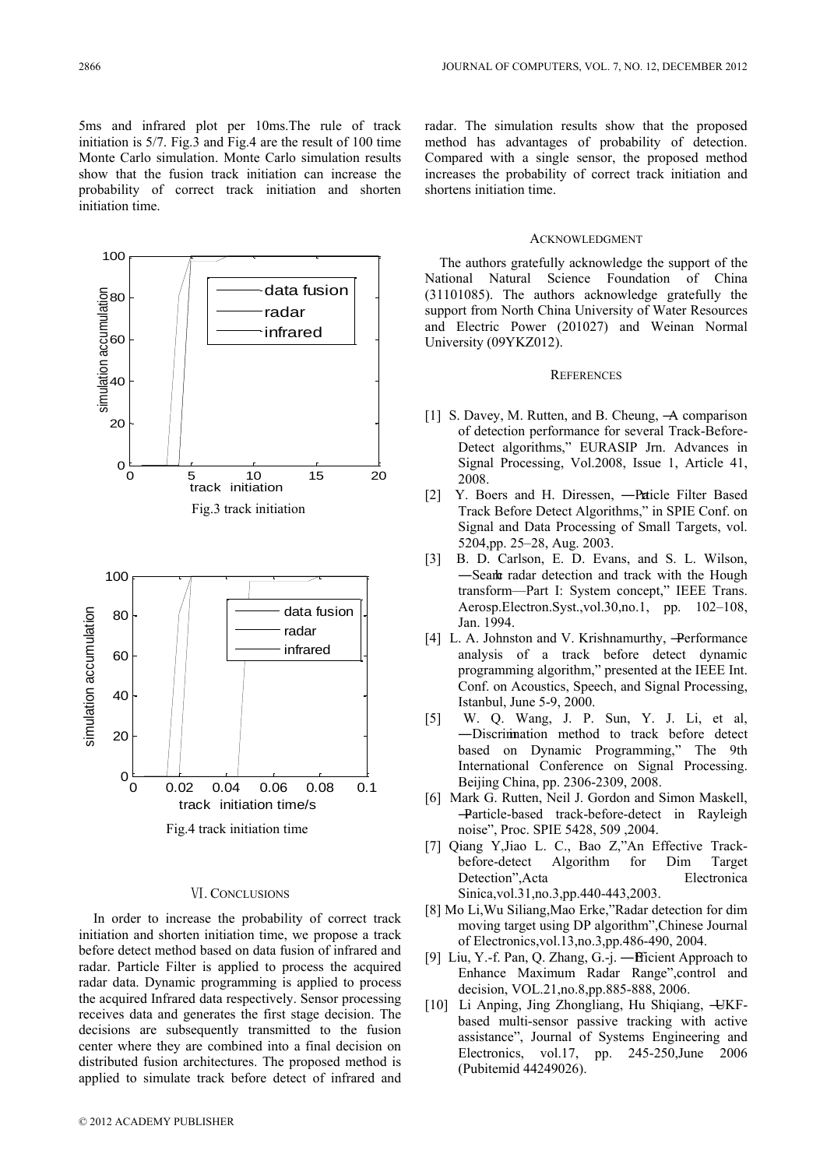5ms and infrared plot per 10ms.The rule of track initiation is 5/7. Fig.3 and Fig.4 are the result of 100 time Monte Carlo simulation. Monte Carlo simulation results show that the fusion track initiation can increase the probability of correct track initiation and shorten initiation time.



### Ⅵ. CONCLUSIONS

In order to increase the probability of correct track initiation and shorten initiation time, we propose a track before detect method based on data fusion of infrared and radar. Particle Filter is applied to process the acquired radar data. Dynamic programming is applied to process the acquired Infrared data respectively. Sensor processing receives data and generates the first stage decision. The decisions are subsequently transmitted to the fusion center where they are combined into a final decision on distributed fusion architectures. The proposed method is applied to simulate track before detect of infrared and radar. The simulation results show that the proposed method has advantages of probability of detection. Compared with a single sensor, the proposed method increases the probability of correct track initiation and shortens initiation time.

## ACKNOWLEDGMENT

The authors gratefully acknowledge the support of the National Natural Science Foundation of China (31101085). The authors acknowledge gratefully the support from North China University of Water Resources and Electric Power (201027) and Weinan Normal University (09YKZ012).

## **REFERENCES**

- [1] S. Davey, M. Rutten, and B. Cheung,  $\rightarrow$  comparison of detection performance for several Track-Before-Detect algorithms," EURASIP Jrn. Advances in Signal Processing, Vol.2008, Issue 1, Article 41, 2008.
- [2] Y. Boers and H. Diressen, -Paticle Filter Based Track Before Detect Algorithms," in SPIE Conf. on Signal and Data Processing of Small Targets, vol. 5204,pp. 25–28, Aug. 2003.
- [3] B. D. Carlson, E. D. Evans, and S. L. Wilson, -Searl tradar detection and track with the Hough transform—Part I: System concept," IEEE Trans. Aerosp.Electron.Syst.,vol.30,no.1, pp. 102–108, Jan. 1994.
- [4] L. A. Johnston and V. Krishnamurthy, -Performance analysis of a track before detect dynamic programming algorithm," presented at the IEEE Int. Conf. on Acoustics, Speech, and Signal Processing, Istanbul, June 5-9, 2000.
- [5] W. Q. Wang, J. P. Sun, Y. J. Li, et al, ―Discrimination method to track before detect based on Dynamic Programming," The 9th International Conference on Signal Processing. Beijing China, pp. 2306-2309, 2008.
- [6] Mark G. Rutten, Neil J. Gordon and Simon Maskell, ―Particle-based track-before-detect in Rayleigh noise", Proc. SPIE 5428, 509 ,2004.
- [7] Qiang Y,Jiao L. C., Bao Z,"An Effective Trackbefore-detect Algorithm for Dim Target Detection",Acta Electronica Sinica,vol.31,no.3,pp.440-443,2003.
- [8] Mo Li, Wu Siliang, Mao Erke, "Radar detection for dim moving target using DP algorithm", Chinese Journal of Electronics,vol.13,no.3,pp.486-490, 2004.
- [9] Liu, Y.-f. Pan, Q. Zhang, G.-j. ―Efficient Approach to Enhance Maximum Radar Range", control and decision, VOL.21,no.8,pp.885-888, 2006.
- [10] Li Anping, Jing Zhongliang, Hu Shiqiang, ―UKFbased multi-sensor passive tracking with active assistance", Journal of Systems Engineering and Electronics, vol.17, pp. 245-250,June 2006 (Pubitemid 44249026).